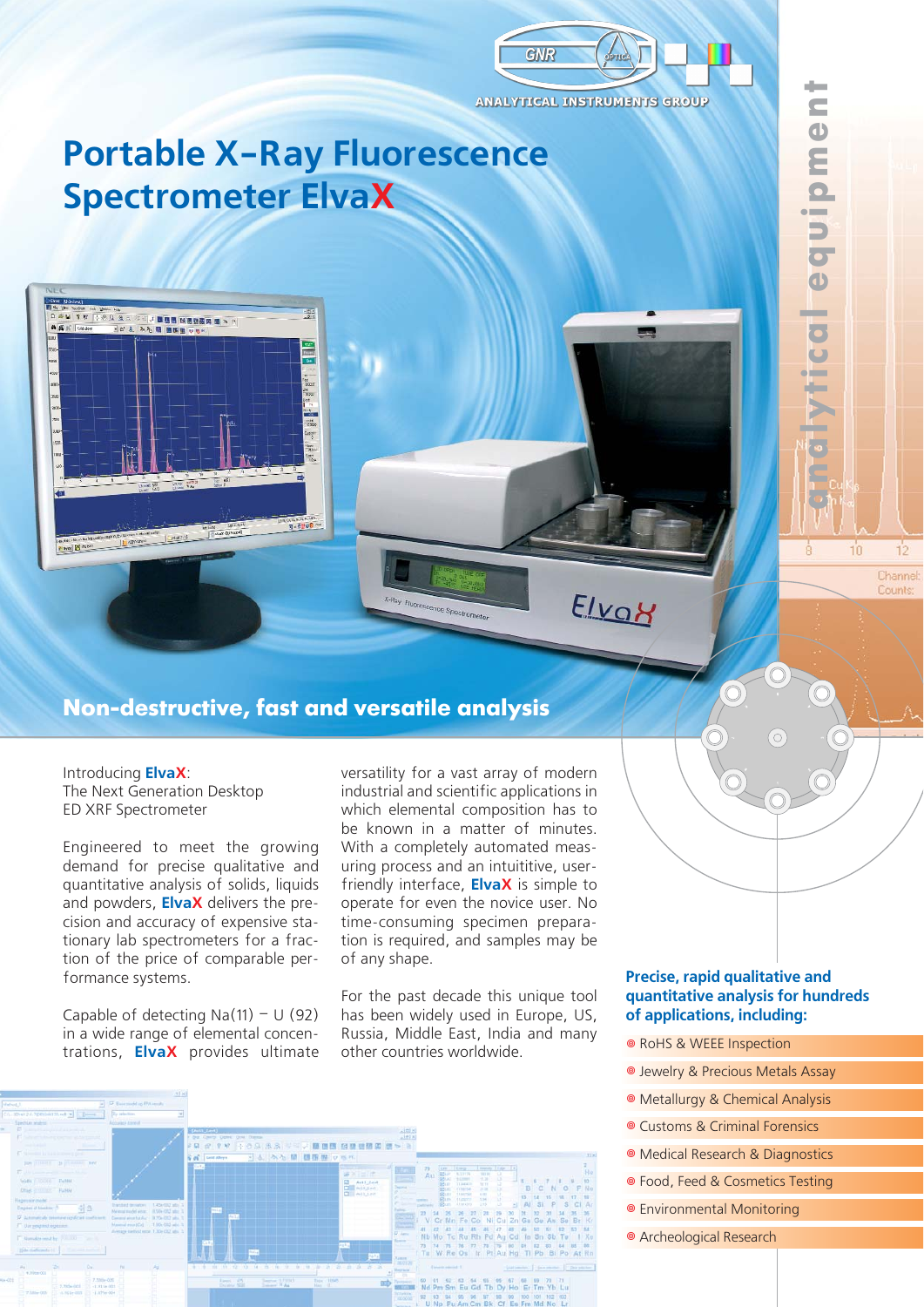

Elvay

**ANALYTICAL INSTRUMENTS GROUP** 

# **Portable X-Ray Fluorescence Spectrometer ElvaX**

ies.<br>193

z)



g. egog ...

Introducing **ElvaX**: The Next Generation Desktop ED XRF Spectrometer

**RN & BOUT** 

 $AC$ 

 $A$  $B$  $E$ 

The Little Street

J DUN MESSAN N S

ある周 国際監

 $\frac{\sum_{i=1}^n \sum_{i=1}^n \mathbf{1}_{\{i\}} \mathbf{1}_{\{i\}}}{\sum_{i=1}^n \mathbf{1}_{\{i\}} \mathbf{1}_{\{i\}} \mathbf{1}_{\{i\}}}\mathbf{1}_{\{i\}}}{\sqrt{n}}}{\sqrt{n}}.$ 

Engineered to meet the growing demand for precise qualitative and quantitative analysis of solids, liquids and powders, **ElvaX** delivers the pre cision and accuracy of expensive sta tionary lab spectrometers for a frac tion of the price of comparable per formance systems.

Capable of detecting  $Na(11) - U(92)$ in a wide range of elemental concen trations, **ElvaX** provides ultimate

versatility for a vast array of modern industrial and scientific applications in which elemental composition has to be known in a matter of minutes. With a completely automated meas uring process and an intuititive, user friendly interface, **ElvaX** is simple to operate for even the novice user. No time-consuming specimen prepara tion is required, and samples may be of any shape.

For the past decade this unique tool has been widely used in Europe, US, Russia, Middle East, India and many other countries worldwide.



### **Precise, rapid qualitative and quantitative analysis for hundreds of applications, including:**

**analytical equipment**

**alyrica** 

 $10$ 

 $12$ Channel: Counts

equipmen

÷

- RoHS & WEEE Inspection
- **O** Jewelry & Precious Metals Assay
- Metallurgy & Chemical Analysis
- **Customs & Criminal Forensics**
- Medical Research & Diagnostics
- Food, Feed & Cosmetics Testing
- Environmental Monitoring
- Archeological Research